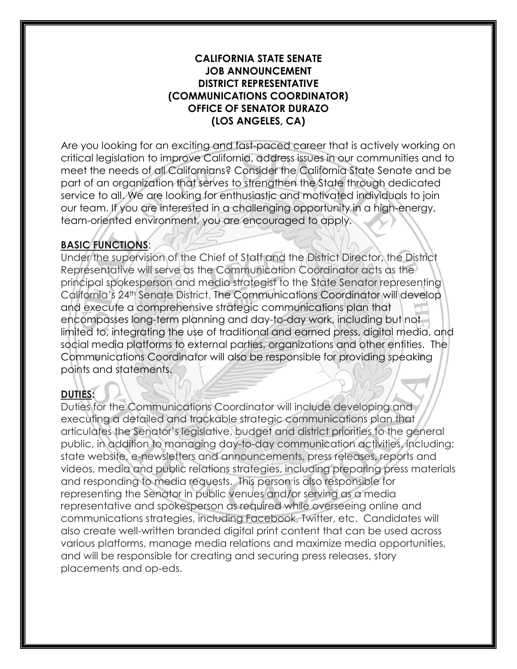## **CALIFORNIA STATE SENATE JOB ANNOUNCEMENT DISTRICT REPRESENTATIVE (COMMUNICATIONS COORDINATOR) OFFICE OF SENATOR DURAZO (LOS ANGELES, CA)**

Are you looking for an exciting and fast-paced career that is actively working on critical legislation to improve California, address issues in our communities and to meet the needs of all Californians? Consider the California State Senate and be part of an organization that serves to strengthen the State through dedicated service to all. We are looking for enthusiastic and motivated individuals to join our team. If you are interested in a challenging opportunity in a high-energy, team-oriented environment, you are encouraged to apply.

# **BASIC FUNCTIONS**:

Under the supervision of the Chief of Staff and the District Director, the District Representative will serve as the Communication Coordinator acts as the principal spokesperson and media strategist to the State Senator representing California's 24th Senate District. The Communications Coordinator will develop and execute a comprehensive strategic communications plan that encompasses long-term planning and day-to-day work, including but not limited to, integrating the use of traditional and earned press, digital media, and social media platforms to external parties, organizations and other entities. The Communications Coordinator will also be responsible for providing speaking points and statements.

## **DUTIES:**

Duties for the Communications Coordinator will include developing and executing a detailed and trackable strategic communications plan that articulates the Senator's legislative, budget and district priorities to the general public, in addition to managing day-to-day communication activities, including: state website, e-newsletters and announcements, press releases, reports and videos, media and public relations strategies, including preparing press materials and responding to media requests. This person is also responsible for representing the Senator in public venues and/or serving as a media representative and spokesperson as required while overseeing online and communications strategies, including Facebook, Twitter, etc. Candidates will also create well-written branded digital print content that can be used across various platforms, manage media relations and maximize media opportunities, and will be responsible for creating and securing press releases, story placements and op-eds.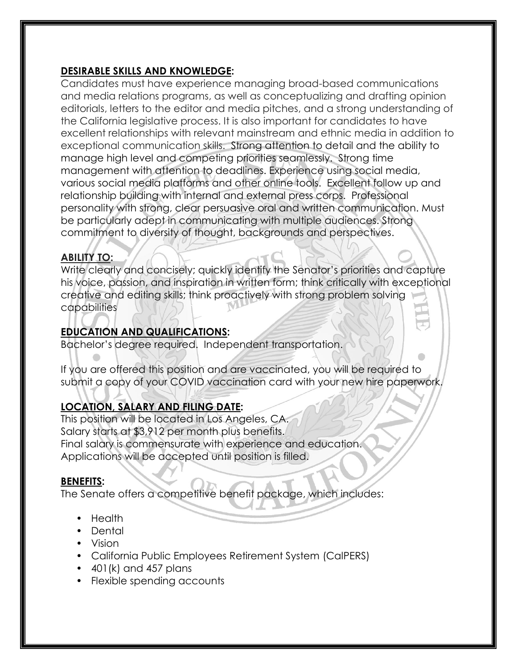# **DESIRABLE SKILLS AND KNOWLEDGE:**

Candidates must have experience managing broad-based communications and media relations programs, as well as conceptualizing and drafting opinion editorials, letters to the editor and media pitches, and a strong understanding of the California legislative process. It is also important for candidates to have excellent relationships with relevant mainstream and ethnic media in addition to exceptional communication skills. Strong attention to detail and the ability to manage high level and competing priorities seamlessly. Strong time management with attention to deadlines. Experience using social media, various social media platforms and other online tools. Excellent follow up and relationship building with internal and external press corps. Professional personality with strong, clear persuasive oral and written communication. Must be particularly adept in communicating with multiple audiences. Strong commitment to diversity of thought, backgrounds and perspectives.

## **ABILITY TO:**

Write clearly and concisely; quickly identify the Senator's priorities and capture his voice, passion, and inspiration in written form; think critically with exceptional creative and editing skills; think proactively with strong problem solving capabilities

# **EDUCATION AND QUALIFICATIONS:**

Bachelor's degree required. Independent transportation.

If you are offered this position and are vaccinated, you will be required to submit a copy of your COVID vaccination card with your new hire paperwork.

# **LOCATION, SALARY AND FILING DATE:**

This position will be located in Los Angeles, CA. Salary starts at \$3,912 per month plus benefits. Final salary is commensurate with experience and education. Applications will be accepted until position is filled.

## **BENEFITS:**

The Senate offers a competitive benefit package, which includes:

- Health
- Dental
- Vision
- California Public Employees Retirement System (CalPERS)
- $\bullet$  401(k) and 457 plans
- Flexible spending accounts